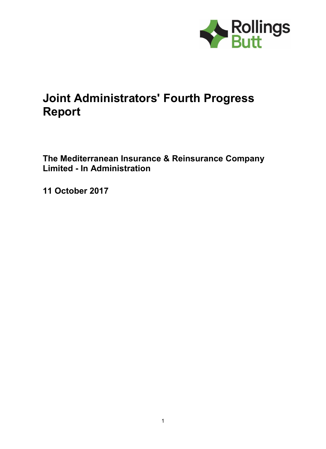

# **Joint Administrators' Fourth Progress Report**

**The Mediterranean Insurance & Reinsurance Company Limited - In Administration**

**11 October 2017**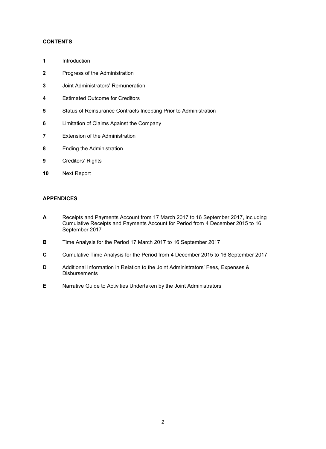#### **CONTENTS**

- **1** Introduction
- **2** Progress of the Administration
- **3** Joint Administrators' Remuneration
- **4** Estimated Outcome for Creditors
- **5** Status of Reinsurance Contracts Incepting Prior to Administration
- **6** Limitation of Claims Against the Company
- **7** Extension of the Administration
- **8** Ending the Administration
- **9** Creditors' Rights
- **10** Next Report

## **APPENDICES**

- **A** Receipts and Payments Account from 17 March 2017 to 16 September 2017, including Cumulative Receipts and Payments Account for Period from 4 December 2015 to 16 September 2017
- **B** Time Analysis for the Period 17 March 2017 to 16 September 2017
- **C** Cumulative Time Analysis for the Period from 4 December 2015 to 16 September 2017
- **D** Additional Information in Relation to the Joint Administrators' Fees, Expenses & **Disbursements**
- **E** Narrative Guide to Activities Undertaken by the Joint Administrators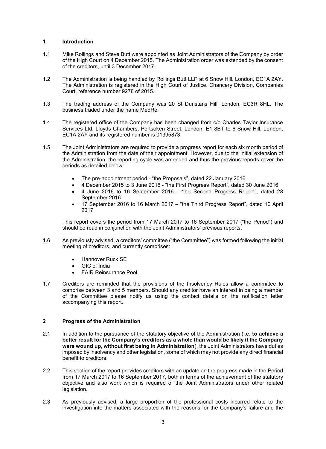#### **1 Introduction**

- 1.1 Mike Rollings and Steve Butt were appointed as Joint Administrators of the Company by order of the High Court on 4 December 2015. The Administration order was extended by the consent of the creditors, until 3 December 2017.
- 1.2 The Administration is being handled by Rollings Butt LLP at 6 Snow Hill, London, EC1A 2AY. The Administration is registered in the High Court of Justice, Chancery Division, Companies Court, reference number 9278 of 2015.
- 1.3 The trading address of the Company was 20 St Dunstans Hill, London, EC3R 8HL. The business traded under the name MedRe.
- 1.4 The registered office of the Company has been changed from c/o Charles Taylor Insurance Services Ltd, Lloyds Chambers, Portsoken Street, London, E1 8BT to 6 Snow Hill, London, EC1A 2AY and its registered number is 01395873.
- 1.5 The Joint Administrators are required to provide a progress report for each six month period of the Administration from the date of their appointment. However, due to the initial extension of the Administration, the reporting cycle was amended and thus the previous reports cover the periods as detailed below:
	- The pre-appointment period "the Proposals", dated 22 January 2016
	- 4 December 2015 to 3 June 2016 "the First Progress Report", dated 30 June 2016
	- 4 June 2016 to 16 September 2016 "the Second Progress Report", dated 28 September 2016
	- 17 September 2016 to 16 March 2017 "the Third Progress Report", dated 10 April 2017

This report covers the period from 17 March 2017 to 16 September 2017 ("the Period") and should be read in conjunction with the Joint Administrators' previous reports.

- 1.6 As previously advised, a creditors' committee ("the Committee") was formed following the initial meeting of creditors, and currently comprises:
	- Hannover Ruck SE
	- GIC of India
	- FAIR Reinsurance Pool
- 1.7 Creditors are reminded that the provisions of the Insolvency Rules allow a committee to comprise between 3 and 5 members. Should any creditor have an interest in being a member of the Committee please notify us using the contact details on the notification letter accompanying this report.

#### **2 Progress of the Administration**

- 2.1 In addition to the pursuance of the statutory objective of the Administration (i.e. **to achieve a better result for the Company's creditors as a whole than would be likely if the Company were wound up, without first being in Administration**), the Joint Administrators have duties imposed by insolvency and other legislation, some of which may not provide any direct financial benefit to creditors.
- 2.2 This section of the report provides creditors with an update on the progress made in the Period from 17 March 2017 to 16 September 2017, both in terms of the achievement of the statutory objective and also work which is required of the Joint Administrators under other related legislation.
- 2.3 As previously advised, a large proportion of the professional costs incurred relate to the investigation into the matters associated with the reasons for the Company's failure and the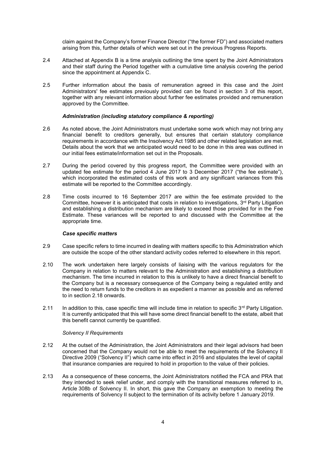claim against the Company's former Finance Director ("the former FD") and associated matters arising from this, further details of which were set out in the previous Progress Reports.

- 2.4 Attached at Appendix B is a time analysis outlining the time spent by the Joint Administrators and their staff during the Period together with a cumulative time analysis covering the period since the appointment at Appendix C.
- 2.5 Further information about the basis of remuneration agreed in this case and the Joint Administrators' fee estimates previously provided can be found in section 3 of this report, together with any relevant information about further fee estimates provided and remuneration approved by the Committee.

#### *Administration (including statutory compliance & reporting)*

- 2.6 As noted above, the Joint Administrators must undertake some work which may not bring any financial benefit to creditors generally, but ensures that certain statutory compliance requirements in accordance with the Insolvency Act 1986 and other related legislation are met. Details about the work that we anticipated would need to be done in this area was outlined in our initial fees estimate/information set out in the Proposals.
- 2.7 During the period covered by this progress report, the Committee were provided with an updated fee estimate for the period 4 June 2017 to 3 December 2017 ("the fee estimate"), which incorporated the estimated costs of this work and any significant variances from this estimate will be reported to the Committee accordingly.
- 2.8 Time costs incurred to 16 September 2017 are within the fee estimate provided to the Committee, however it is anticipated that costs in relation to investigations,  $3<sup>rd</sup>$  Party Litigation and establishing a distribution mechanism are likely to exceed those provided for in the Fee Estimate. These variances will be reported to and discussed with the Committee at the appropriate time.

#### *Case specific matters*

- 2.9 Case specific refers to time incurred in dealing with matters specific to this Administration which are outside the scope of the other standard activity codes referred to elsewhere in this report.
- 2.10 The work undertaken here largely consists of liaising with the various regulators for the Company in relation to matters relevant to the Administration and establishing a distribution mechanism. The time incurred in relation to this is unlikely to have a direct financial benefit to the Company but is a necessary consequence of the Company being a regulated entity and the need to return funds to the creditors in as expedient a manner as possible and as referred to in section 2.18 onwards.
- 2.11 In addition to this, case specific time will include time in relation to specific  $3<sup>rd</sup>$  Party Litigation. It is currently anticipated that this will have some direct financial benefit to the estate, albeit that this benefit cannot currently be quantified.

#### *Solvency II Requirements*

- 2.12 At the outset of the Administration, the Joint Administrators and their legal advisors had been concerned that the Company would not be able to meet the requirements of the Solvency II Directive 2009 ("Solvency II") which came into effect in 2016 and stipulates the level of capital that insurance companies are required to hold in proportion to the value of their policies.
- 2.13 As a consequence of these concerns, the Joint Administrators notified the FCA and PRA that they intended to seek relief under, and comply with the transitional measures referred to in, Article 308b of Solvency II. In short, this gave the Company an exemption to meeting the requirements of Solvency II subject to the termination of its activity before 1 January 2019.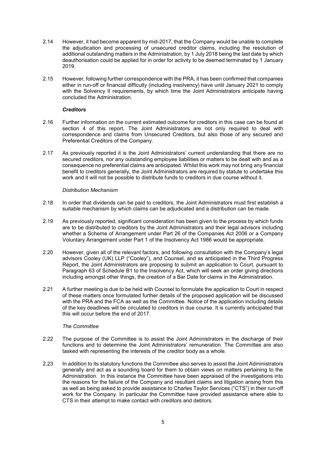- 2.14 However, it had become apparent by mid-2017, that the Company would be unable to complete the adjudication and processing of unsecured creditor claims, including the resolution of additional outstanding matters in the Administration, by 1 July 2018 being the last date by which deauthorisation could be applied for in order for activity to be deemed terminated by 1 January 2019.
- 2.15 However, following further correspondence with the PRA, it has been confirmed that companies either in run-off or financial difficulty (including insolvency) have until January 2021 to comply with the Solvency II requirements, by which time the Joint Administrators anticipate having concluded the Administration.

#### *Creditors*

- 2.16 Further information on the current estimated outcome for creditors in this case can be found at section 4 of this report. The Joint Administrators are not only required to deal with correspondence and claims from Unsecured Creditors, but also those of any secured and Preferential Creditors of the Company.
- 2.17 As previously reported it is the Joint Administrators' current understanding that there are no secured creditors, nor any outstanding employee liabilities or matters to be dealt with and as a consequence no preferential claims are anticipated. Whilst this work may not bring any financial benefit to creditors generally, the Joint Administrators are required by statute to undertake this work and it will not be possible to distribute funds to creditors in due course without it.

#### *Distribution Mechanism*

- 2.18 In order that dividends can be paid to creditors, the Joint Administrators must first establish a suitable mechanism by which claims can be adjudicated and a distribution can be made.
- 2.19 As previously reported, significant consideration has been given to the process by which funds are to be distributed to creditors by the Joint Administrators and their legal advisors including whether a Scheme of Arrangement under Part 26 of the Companies Act 2006 or a Company Voluntary Arrangement under Part 1 of the Insolvency Act 1986 would be appropriate.
- 2.20 However, given all of the relevant factors, and following consultation with the Company's legal advisors Cooley (UK) LLP ("Cooley"), and Counsel, and as anticipated in the Third Progress Report, the Joint Administrators are proposing to submit an application to Court, pursuant to Paragraph 63 of Schedule B1 to the Insolvency Act, which will seek an order giving directions including amongst other things, the creation of a Bar Date for claims in the Administration.
- 2.21 A further meeting is due to be held with Counsel to formulate the application to Court in respect of these matters once formulated further details of the proposed application will be discussed with the PRA and the FCA as well as the Committee. Notice of the application including details of the key deadlines will be circulated to creditors in due course. It is currently anticipated that this will occur before the end of 2017.

#### *The Committee*

- 2.22 The purpose of the Committee is to assist the Joint Administrators in the discharge of their functions and to determine the Joint Administrators' remuneration. The Committee are also tasked with representing the interests of the creditor body as a whole.
- 2.23 In addition to its statutory functions the Committee also serves to assist the Joint Administrators generally and act as a sounding board for them to obtain views on matters pertaining to the Administration. In this instance the Committee have been appraised of the investigations into the reasons for the failure of the Company and resultant claims and litigation arising from this as well as being asked to provide assistance to Charles Taylor Services ("CTS") in their run-off work for the Company. In particular the Committee have provided assistance where able to CTS in their attempt to make contact with creditors and debtors.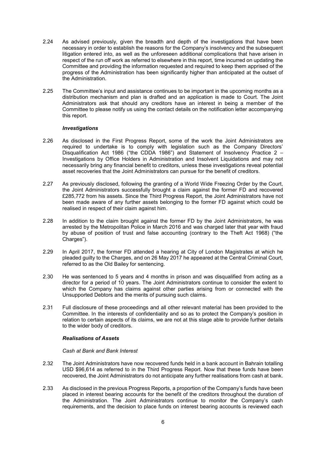- 2.24 As advised previously, given the breadth and depth of the investigations that have been necessary in order to establish the reasons for the Company's insolvency and the subsequent litigation entered into, as well as the unforeseen additional complications that have arisen in respect of the run off work as referred to elsewhere in this report, time incurred on updating the Committee and providing the information requested and required to keep them apprised of the progress of the Administration has been significantly higher than anticipated at the outset of the Administration.
- 2.25 The Committee's input and assistance continues to be important in the upcoming months as a distribution mechanism and plan is drafted and an application is made to Court. The Joint Administrators ask that should any creditors have an interest in being a member of the Committee to please notify us using the contact details on the notification letter accompanying this report.

#### *Investigations*

- 2.26 As disclosed in the First Progress Report, some of the work the Joint Administrators are required to undertake is to comply with legislation such as the Company Directors' Disqualification Act 1986 ("the CDDA 1986") and Statement of Insolvency Practice 2 – Investigations by Office Holders in Administration and Insolvent Liquidations and may not necessarily bring any financial benefit to creditors, unless these investigations reveal potential asset recoveries that the Joint Administrators can pursue for the benefit of creditors.
- 2.27 As previously disclosed, following the granting of a World Wide Freezing Order by the Court, the Joint Administrators successfully brought a claim against the former FD and recovered £285,772 from his assets. Since the Third Progress Report, the Joint Administrators have not been made aware of any further assets belonging to the former FD against which could be realised in respect of their claim against him.
- 2.28 In addition to the claim brought against the former FD by the Joint Administrators, he was arrested by the Metropolitan Police in March 2016 and was charged later that year with fraud by abuse of position of trust and false accounting (contrary to the Theft Act 1968) ("the Charges").
- 2.29 In April 2017, the former FD attended a hearing at City of London Magistrates at which he pleaded guilty to the Charges, and on 26 May 2017 he appeared at the Central Criminal Court, referred to as the Old Bailey for sentencing.
- 2.30 He was sentenced to 5 years and 4 months in prison and was disqualified from acting as a director for a period of 10 years. The Joint Administrators continue to consider the extent to which the Company has claims against other parties arising from or connected with the Unsupported Debtors and the merits of pursuing such claims.
- 2.31 Full disclosure of these proceedings and all other relevant material has been provided to the Committee. In the interests of confidentiality and so as to protect the Company's position in relation to certain aspects of its claims, we are not at this stage able to provide further details to the wider body of creditors.

#### *Realisations of Assets*

#### *Cash at Bank and Bank Interest*

- 2.32 The Joint Administrators have now recovered funds held in a bank account in Bahrain totalling USD \$96,614 as referred to in the Third Progress Report. Now that these funds have been recovered, the Joint Administrators do not anticipate any further realisations from cash at bank.
- 2.33 As disclosed in the previous Progress Reports, a proportion of the Company's funds have been placed in interest bearing accounts for the benefit of the creditors throughout the duration of the Administration. The Joint Administrators continue to monitor the Company's cash requirements, and the decision to place funds on interest bearing accounts is reviewed each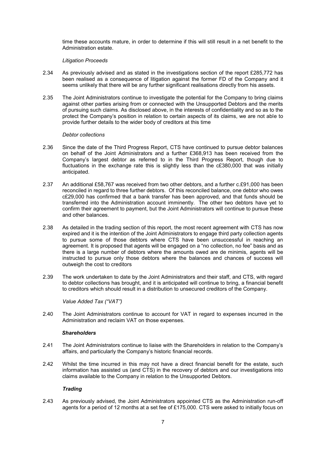time these accounts mature, in order to determine if this will still result in a net benefit to the Administration estate.

#### *Litigation Proceeds*

- 2.34 As previously advised and as stated in the investigations section of the report £285,772 has been realised as a consequence of litigation against the former FD of the Company and it seems unlikely that there will be any further significant realisations directly from his assets.
- 2.35 The Joint Administrators continue to investigate the potential for the Company to bring claims against other parties arising from or connected with the Unsupported Debtors and the merits of pursuing such claims. As disclosed above, in the interests of confidentiality and so as to the protect the Company's position in relation to certain aspects of its claims, we are not able to provide further details to the wider body of creditors at this time

#### *Debtor collections*

- 2.36 Since the date of the Third Progress Report, CTS have continued to pursue debtor balances on behalf of the Joint Administrators and a further £368,913 has been received from the Company's largest debtor as referred to in the Third Progress Report, though due to fluctuations in the exchange rate this is slightly less than the c£380,000 that was initially anticipated.
- 2.37 An additional £58,767 was received from two other debtors, and a further c.£91,000 has been reconciled in regard to three further debtors. Of this reconciled balance, one debtor who owes c£29,000 has confirmed that a bank transfer has been approved, and that funds should be transferred into the Administration account imminently. The other two debtors have yet to confirm their agreement to payment, but the Joint Administrators will continue to pursue these and other balances.
- 2.38 As detailed in the trading section of this report, the most recent agreement with CTS has now expired and it is the intention of the Joint Administrators to engage third party collection agents to pursue some of those debtors where CTS have been unsuccessful in reaching an agreement. It is proposed that agents will be engaged on a "no collection, no fee" basis and as there is a large number of debtors where the amounts owed are de minimis, agents will be instructed to pursue only those debtors where the balances and chances of success will outweigh the cost to creditors
- 2.39 The work undertaken to date by the Joint Administrators and their staff, and CTS, with regard to debtor collections has brought, and it is anticipated will continue to bring, a financial benefit to creditors which should result in a distribution to unsecured creditors of the Company.

#### *Value Added Tax ("VAT")*

2.40 The Joint Administrators continue to account for VAT in regard to expenses incurred in the Administration and reclaim VAT on those expenses.

#### *Shareholders*

- 2.41 The Joint Administrators continue to liaise with the Shareholders in relation to the Company's affairs, and particularly the Company's historic financial records.
- 2.42 Whilst the time incurred in this may not have a direct financial benefit for the estate, such information has assisted us (and CTS) in the recovery of debtors and our investigations into claims available to the Company in relation to the Unsupported Debtors.

#### *Trading*

2.43 As previously advised, the Joint Administrators appointed CTS as the Administration run-off agents for a period of 12 months at a set fee of £175,000. CTS were asked to initially focus on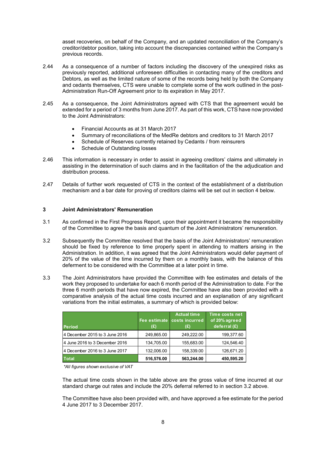asset recoveries, on behalf of the Company, and an updated reconciliation of the Company's creditor/debtor position, taking into account the discrepancies contained within the Company's previous records.

- 2.44 As a consequence of a number of factors including the discovery of the unexpired risks as previously reported, additional unforeseen difficulties in contacting many of the creditors and Debtors, as well as the limited nature of some of the records being held by both the Company and cedants themselves, CTS were unable to complete some of the work outlined in the post-Administration Run-Off Agreement prior to its expiration in May 2017.
- 2.45 As a consequence, the Joint Administrators agreed with CTS that the agreement would be extended for a period of 3 months from June 2017. As part of this work, CTS have now provided to the Joint Administrators:
	- Financial Accounts as at 31 March 2017
	- Summary of reconciliations of the MedRe debtors and creditors to 31 March 2017
	- Schedule of Reserves currently retained by Cedants / from reinsurers
	- Schedule of Outstanding losses
- 2.46 This information is necessary in order to assist in agreeing creditors' claims and ultimately in assisting in the determination of such claims and in the facilitation of the the adjudication and distribution process.
- 2.47 Details of further work requested of CTS in the context of the establishment of a distribution mechanism and a bar date for proving of creditors claims will be set out in section 4 below.

#### **3 Joint Administrators' Remuneration**

- 3.1 As confirmed in the First Progress Report, upon their appointment it became the responsibility of the Committee to agree the basis and quantum of the Joint Administrators' remuneration.
- 3.2 Subsequently the Committee resolved that the basis of the Joint Administrators' remuneration should be fixed by reference to time properly spent in attending to matters arising in the Administration. In addition, it was agreed that the Joint Administrators would defer payment of 20% of the value of the time incurred by them on a monthly basis, with the balance of this deferment to be considered with the Committee at a later point in time.
- 3.3 The Joint Administrators have provided the Committee with fee estimates and details of the work they proposed to undertake for each 6 month period of the Administration to date. For the three 6 month periods that have now expired, the Committee have also been provided with a comparative analysis of the actual time costs incurred and an explanation of any significant variations from the initial estimates, a summary of which is provided below:

| <b>Period</b>                   | (E)        | <b>Actual time</b><br>Fee estimate costs incurred<br>(£) | Time costs net<br>of 20% agreed<br>deferral (£) |
|---------------------------------|------------|----------------------------------------------------------|-------------------------------------------------|
| 4 December 2015 to 3 June 2016  | 249,865.00 | 249.222.00                                               | 199,377.60                                      |
| 4 June 2016 to 3 December 2016  | 134.705.00 | 155,683.00                                               | 124.546.40                                      |
| 14 December 2016 to 3 June 2017 | 132,006.00 | 158,339.00                                               | 126,671.20                                      |
| <b>Total</b>                    | 516,576.00 | 563.244.00                                               | 450,595.20                                      |

*\*All figures shown exclusive of VAT*

The actual time costs shown in the table above are the gross value of time incurred at our standard charge out rates and include the 20% deferral referred to in section 3.2 above.

The Committee have also been provided with, and have approved a fee estimate for the period 4 June 2017 to 3 December 2017.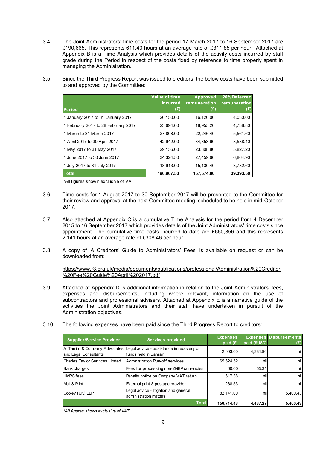3.4 The Joint Administrators' time costs for the period 17 March 2017 to 16 September 2017 are £190,665. This represents 611.40 hours at an average rate of £311.85 per hour. Attached at Appendix B is a Time Analysis which provides details of the activity costs incurred by staff grade during the Period in respect of the costs fixed by reference to time properly spent in managing the Administration.

3.5 Since the Third Progress Report was issued to creditors, the below costs have been submitted

| to and approved by the Committee: |               |                       |
|-----------------------------------|---------------|-----------------------|
|                                   | Value of time | Approved 20% Deferred |

| <b>Period</b>                       | <i>incurred</i><br>(£) | remuneration<br>(£) | remuneration<br>(£) |
|-------------------------------------|------------------------|---------------------|---------------------|
|                                     |                        |                     |                     |
| 1 January 2017 to 31 January 2017   | 20,150.00              | 16.120.00           | 4,030.00            |
| 1 February 2017 to 28 February 2017 | 23.694.00              | 18.955.20           | 4,738.80            |
| 1 March to 31 March 2017            | 27.808.00              | 22.246.40           | 5,561.60            |
| 1 April 2017 to 30 April 2017       | 42.942.00              | 34,353.60           | 8,588.40            |
| 1 May 2017 to 31 May 2017           | 29,136.00              | 23,308.80           | 5,827.20            |
| 1 June 2017 to 30 June 2017         | 34.324.50              | 27.459.60           | 6,864.90            |
| 1 July 2017 to 31 July 2017         | 18,913.00              | 15,130.40           | 3,782.60            |
| <b>Total</b>                        | 196,967.50             | 157,574.00          | 39,393.50           |

\*All figures show n exclusive of VAT

- 3.6 Time costs for 1 August 2017 to 30 September 2017 will be presented to the Committee for their review and approval at the next Committee meeting, scheduled to be held in mid-October 2017.
- 3.7 Also attached at Appendix C is a cumulative Time Analysis for the period from 4 December 2015 to 16 September 2017 which provides details of the Joint Administrators' time costs since appointment. The cumulative time costs incurred to date are £660,356 and this represents 2,141 hours at an average rate of £308.46 per hour.
- 3.8 A copy of 'A Creditors' Guide to Administrators' Fees' is available on request or can be downloaded from:

https://www.r3.org.uk/media/documents/publications/professional/Administration%20Creditor %20Fee%20Guide%20April%202017.pdf

- 3.9 Attached at Appendix D is additional information in relation to the Joint Administrators' fees, expenses and disbursements, including where relevant, information on the use of subcontractors and professional advisers. Attached at Appendix E is a narrative guide of the activities the Joint Administrators and their staff have undertaken in pursuit of the Administration objectives.
- 3.10 The following expenses have been paid since the Third Progress Report to creditors:

| <b>Supplier/Service Provider</b>                       | <b>Services provided</b>                                          | <b>Expenses</b><br>paid $(E)$ | paid (\$USD) | <b>Expenses Disbursements</b><br>(E) |
|--------------------------------------------------------|-------------------------------------------------------------------|-------------------------------|--------------|--------------------------------------|
| Al Tamimi & Company Advocates<br>and Legal Consultants | Legal advice - assistance in recovery of<br>funds held in Bahrain | 2,003.00                      | 4,381.96     | nil                                  |
| Charles Taylor Services Limited                        | Administration Run-off services                                   | 65,624.52                     | nill         | nil                                  |
| <b>Bank charges</b>                                    | Fees for processing non-£GBP currencies                           | 60.00                         | 55.31        | nil                                  |
| <b>HMRC</b> fees                                       | Penalty notice on Company VAT return                              | 617.38                        | nill         | nil                                  |
| Mail & Print                                           | External print & postage provider                                 | 268.53                        | nill         | nil                                  |
| Cooley (UK) LLP                                        | Legal advice - litigation and general<br>administration matters   | 82,141.00                     | nil          | 5,400.43                             |
|                                                        | <b>Total</b>                                                      | 150,714.43                    | 4,437.27     | 5.400.43                             |

*\*All figures shown exclusive of VAT*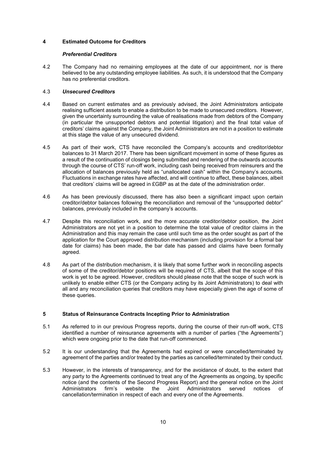## **4 Estimated Outcome for Creditors**

#### *Preferential Creditors*

4.2 The Company had no remaining employees at the date of our appointment, nor is there believed to be any outstanding employee liabilities. As such, it is understood that the Company has no preferential creditors.

#### 4.3 *Unsecured Creditors*

- 4.4 Based on current estimates and as previously advised, the Joint Administrators anticipate realising sufficient assets to enable a distribution to be made to unsecured creditors. However, given the uncertainty surrounding the value of realisations made from debtors of the Company (in particular the unsupported debtors and potential litigation) and the final total value of creditors' claims against the Company, the Joint Administrators are not in a position to estimate at this stage the value of any unsecured dividend.
- 4.5 As part of their work, CTS have reconciled the Company's accounts and creditor/debtor balances to 31 March 2017. There has been significant movement in some of these figures as a result of the continuation of closings being submitted and rendering of the outwards accounts through the course of CTS' run-off work, including cash being received from reinsurers and the allocation of balances previously held as "unallocated cash" within the Company's accounts. Fluctuations in exchange rates have affected, and will continue to affect, these balances, albeit that creditors' claims will be agreed in £GBP as at the date of the administration order.
- 4.6 As has been previously discussed, there has also been a significant impact upon certain creditor/debtor balances following the reconciliation and removal of the "unsupported debtor" balances, previously included in the company's accounts.
- 4.7 Despite this reconciliation work, and the more accurate creditor/debtor position, the Joint Administrators are not yet in a position to determine the total value of creditor claims in the Administration and this may remain the case until such time as the order sought as part of the application for the Court approved distribution mechanism (including provision for a formal bar date for claims) has been made, the bar date has passed and claims have been formally agreed.
- 4.8 As part of the distribution mechanism, it is likely that some further work in reconciling aspects of some of the creditor/debtor positions will be required of CTS, albeit that the scope of this work is yet to be agreed. However, creditors should please note that the scope of such work is unlikely to enable either CTS (or the Company acting by its Joint Administrators) to deal with all and any reconciliation queries that creditors may have especially given the age of some of these queries.

#### **5 Status of Reinsurance Contracts Incepting Prior to Administration**

- 5.1 As referred to in our previous Progress reports, during the course of their run-off work, CTS identified a number of reinsurance agreements with a number of parties ("the Agreements") which were ongoing prior to the date that run-off commenced.
- 5.2 It is our understanding that the Agreements had expired or were cancelled/terminated by agreement of the parties and/or treated by the parties as cancelled/terminated by their conduct.
- 5.3 However, in the interests of transparency, and for the avoidance of doubt, to the extent that any party to the Agreements continued to treat any of the Agreements as ongoing, by specific notice (and the contents of the Second Progress Report) and the general notice on the Joint Administrators firm's website the Joint Administrators served notices of cancellation/termination in respect of each and every one of the Agreements.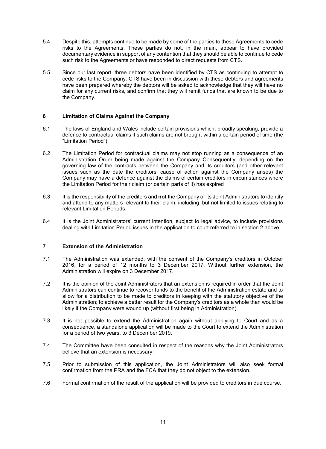- 5.4 Despite this, attempts continue to be made by some of the parties to these Agreements to cede risks to the Agreements. These parties do not, in the main, appear to have provided documentary evidence in support of any contention that they should be able to continue to cede such risk to the Agreements or have responded to direct requests from CTS.
- 5.5 Since our last report, three debtors have been identified by CTS as continuing to attempt to cede risks to the Company. CTS have been in discussion with these debtors and agreements have been prepared whereby the debtors will be asked to acknowledge that they will have no claim for any current risks, and confirm that they will remit funds that are known to be due to the Company.

#### **6 Limitation of Claims Against the Company**

- 6.1 The laws of England and Wales include certain provisions which, broadly speaking, provide a defence to contractual claims if such claims are not brought within a certain period of time (the "Limitation Period").
- 6.2 The Limitation Period for contractual claims may not stop running as a consequence of an Administration Order being made against the Company. Consequently, depending on the governing law of the contracts between the Company and its creditors (and other relevant issues such as the date the creditors' cause of action against the Company arises) the Company may have a defence against the claims of certain creditors in circumstances where the Limitation Period for their claim (or certain parts of it) has expired
- 6.3 It is the responsibility of the creditors and **not** the Company or its Joint Administrators to identify and attend to any matters relevant to their claim, including, but not limited to issues relating to relevant Limitation Periods.
- 6.4 It is the Joint Administrators' current intention, subject to legal advice, to include provisions dealing with Limitation Period issues in the application to court referred to in section 2 above.

#### **7 Extension of the Administration**

- 7.1 The Administration was extended, with the consent of the Company's creditors in October 2016, for a period of 12 months to 3 December 2017. Without further extension, the Administration will expire on 3 December 2017.
- 7.2 It is the opinion of the Joint Administrators that an extension is required in order that the Joint Administrators can continue to recover funds to the benefit of the Administration estate and to allow for a distribution to be made to creditors in keeping with the statutory objective of the Administration; to achieve a better result for the Company's creditors as a whole than would be likely if the Company were wound up (without first being in Administration).
- 7.3 It is not possible to extend the Administration again without applying to Court and as a consequence, a standalone application will be made to the Court to extend the Administration for a period of two years, to 3 December 2019.
- 7.4 The Committee have been consulted in respect of the reasons why the Joint Administrators believe that an extension is necessary.
- 7.5 Prior to submission of this application, the Joint Administrators will also seek formal confirmation from the PRA and the FCA that they do not object to the extension.
- 7.6 Formal confirmation of the result of the application will be provided to creditors in due course.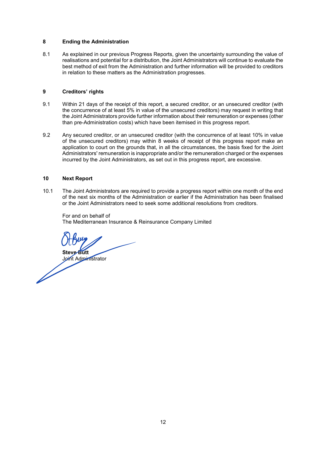#### **8 Ending the Administration**

8.1 As explained in our previous Progress Reports, given the uncertainty surrounding the value of realisations and potential for a distribution, the Joint Administrators will continue to evaluate the best method of exit from the Administration and further information will be provided to creditors in relation to these matters as the Administration progresses.

#### **9 Creditors' rights**

- 9.1 Within 21 days of the receipt of this report, a secured creditor, or an unsecured creditor (with the concurrence of at least 5% in value of the unsecured creditors) may request in writing that the Joint Administrators provide further information about their remuneration or expenses (other than pre-Administration costs) which have been itemised in this progress report.
- 9.2 Any secured creditor, or an unsecured creditor (with the concurrence of at least 10% in value of the unsecured creditors) may within 8 weeks of receipt of this progress report make an application to court on the grounds that, in all the circumstances, the basis fixed for the Joint Administrators' remuneration is inappropriate and/or the remuneration charged or the expenses incurred by the Joint Administrators, as set out in this progress report, are excessive.

#### **10 Next Report**

10.1 The Joint Administrators are required to provide a progress report within one month of the end of the next six months of the Administration or earlier if the Administration has been finalised or the Joint Administrators need to seek some additional resolutions from creditors.

For and on behalf of The Mediterranean Insurance & Reinsurance Company Limited

**Steve Butt**

Joint Administrator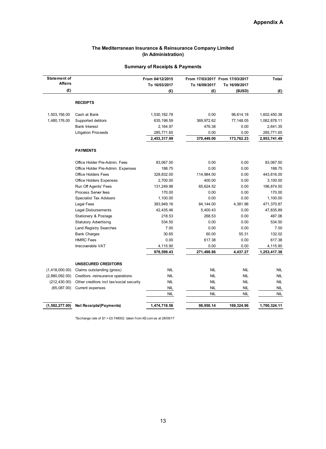#### **The Mediterranean Insurance & Reinsurance Company Limited (In Administration)**

| <b>Statement of</b> |                                          | From 04/12/2015 |               | From 17/03/2017 From 17/03/2017 | Total        |
|---------------------|------------------------------------------|-----------------|---------------|---------------------------------|--------------|
| <b>Affairs</b>      |                                          | To 16/03/2017   | To 16/09/2017 | To 16/09/2017                   |              |
| (E)                 |                                          | (E)             | (£)           | (SUSD)                          | (E)          |
|                     |                                          |                 |               |                                 |              |
|                     | <b>RECEIPTS</b>                          |                 |               |                                 |              |
| 1,503,156.00        | Cash at Bank                             | 1,530,182.78    | 0.00          | 96,614.18                       | 1,602,450.38 |
| 1,480,176.00        | Supported debtors                        | 635, 198.59     | 369,972.62    | 77,148.05                       | 1,062,878.11 |
|                     | <b>Bank Interest</b>                     | 2,164.97        | 476.38        | 0.00                            | 2,641.35     |
|                     | <b>Litigation Proceeds</b>               | 285,771.65      | 0.00          | 0.00                            | 285,771.65   |
|                     |                                          | 2,453,317.99    | 370,449.00    | 173,762.23                      | 2,953,741.49 |
|                     | <b>PAYMENTS</b>                          |                 |               |                                 |              |
|                     | Office Holder Pre-Admin. Fees            | 83,067.50       | 0.00          | 0.00                            | 83,067.50    |
|                     | Office Holder Pre-Admin. Expenses        | 188.75          | 0.00          | 0.00                            | 188.75       |
|                     | <b>Office Holders Fees</b>               | 328,832.00      | 114,984.00    | 0.00                            | 443,816.00   |
|                     | <b>Office Holders Expenses</b>           | 2,700.00        | 400.00        | 0.00                            | 3,100.00     |
|                     | Run Off Agents' Fees                     | 131,249.98      | 65,624.52     | 0.00                            | 196,874.50   |
|                     | Process Server fees                      | 170.00          | 0.00          | 0.00                            | 170.00       |
|                     | Specialist Tax Advisers                  | 1,100.00        | 0.00          | 0.00                            | 1,100.00     |
|                     | Legal Fees                               | 383,949.16      | 84,144.00     | 4,381.96                        | 471,370.87   |
|                     | Legal Disbursements                      | 42,435.46       | 5,400.43      | 0.00                            | 47,835.89    |
|                     | Stationery & Postage                     | 218.53          | 268.53        | 0.00                            | 487.06       |
|                     | <b>Statutory Advertising</b>             | 534.50          | 0.00          | 0.00                            | 534.50       |
|                     | <b>Land Registry Searches</b>            | 7.00            | 0.00          | 0.00                            | 7.00         |
|                     | <b>Bank Charges</b>                      | 30.65           | 60.00         | 55.31                           | 132.02       |
|                     | <b>HMRC Fees</b>                         | 0.00            | 617.38        | 0.00                            | 617.38       |
|                     | Irrecoverable VAT                        | 4,115.90        | 0.00          | 0.00                            | 4,115.90     |
|                     |                                          | 978,599.43      | 271,498.86    | 4,437.27                        | 1,253,417.38 |
|                     | <b>UNSECURED CREDITORS</b>               |                 |               |                                 |              |
| (1,418,000.00)      | Claims outstanding (gross)               | <b>NIL</b>      | <b>NIL</b>    | <b>NIL</b>                      | <b>NIL</b>   |
| (2,880,092.00)      | Creditors -reinsurance operations        | <b>NIL</b>      | <b>NIL</b>    | <b>NIL</b>                      | <b>NIL</b>   |
| (212, 430.00)       | Other creditors incl tax/social security | <b>NIL</b>      | <b>NIL</b>    | <b>NIL</b>                      | <b>NIL</b>   |
| (65,087.00)         | Current expenses                         | <b>NIL</b>      | <b>NIL</b>    | <b>NIL</b>                      | <b>NIL</b>   |
|                     |                                          | NIL             | NIL           | NIL                             | <b>NIL</b>   |
| (1,592,277.00)      | <b>Net Receipts/(Payments)</b>           | 1,474,718.56    | 98,950.14     | 169,324.96                      | 1,700,324.11 |

## **Summary of Receipts & Payments**

\*Exchange rate of \$1 = £0.748002 taken from XE.com as at 28/09/17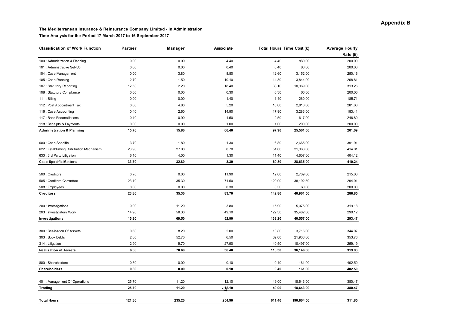#### **The Mediterranean Insurance & Reinsurance Company Limited - in Administration Time Analysis for the Period 17 March 2017 to 16 September 2017**

| <b>Classification of Work Function</b>    | Partner | Manager | Associate   |        | Total Hours Time Cost (£) | <b>Average Hourly</b> |
|-------------------------------------------|---------|---------|-------------|--------|---------------------------|-----------------------|
|                                           |         |         |             |        |                           | Rate $(E)$            |
| 100 : Administration & Planning           | 0.00    | 0.00    | 4.40        | 4.40   | 880.00                    | 200.00                |
| 101 : Administrative Set-Up               | 0.00    | 0.00    | 0.40        | 0.40   | 80.00                     | 200.00                |
| 104 : Case Management                     | 0.00    | 3.80    | 8.80        | 12.60  | 3,152.00                  | 250.16                |
| 105 : Case Planning                       | 2.70    | 1.50    | 10.10       | 14.30  | 3,844.00                  | 268.81                |
| 107 : Statutory Reporting                 | 12.50   | 2.20    | 18.40       | 33.10  | 10,369.00                 | 313.26                |
| 108 : Statutory Compliance                | 0.00    | 0.00    | 0.30        | 0.30   | 60.00                     | 200.00                |
| $111:$ Billing                            | 0.00    | 0.00    | 1.40        | 1.40   | 260.00                    | 185.71                |
| 112 : Post Appointment Tax                | 0.00    | 4.80    | 5.20        | 10.00  | 2,816.00                  | 281.60                |
| 116 : Case Accounting                     | 0.40    | 2.60    | 14.90       | 17.90  | 3,283.00                  | 183.41                |
| 117 : Bank Reconciliations                | 0.10    | 0.90    | 1.50        | 2.50   | 617.00                    | 246.80                |
| 118 : Receipts & Payments                 | 0.00    | 0.00    | 1.00        | 1.00   | 200.00                    | 200.00                |
| <b>Administration &amp; Planning</b>      | 15.70   | 15.80   | 66.40       | 97.90  | 25,561.00                 | 261.09                |
|                                           |         |         |             |        |                           |                       |
| 600 : Case Specific                       | 3.70    | 1.80    | 1.30        | 6.80   | 2,665.00                  | 391.91                |
| 622 : Establishing Distribution Mechanism | 23.90   | 27.00   | 0.70        | 51.60  | 21,363.00                 | 414.01                |
| 633 : 3rd Party Litigation                | 6.10    | 4.00    | 1.30        | 11.40  | 4,607.00                  | 404.12                |
| <b>Case Specific Matters</b>              | 33.70   | 32.80   | 3.30        | 69.80  | 28,635.00                 | 410.24                |
|                                           |         |         |             |        |                           |                       |
| 500 : Creditors                           | 0.70    | 0.00    | 11.90       | 12.60  | 2,709.00                  | 215.00                |
| 505 : Creditors Committee                 | 23.10   | 35.30   | 71.50       | 129.90 | 38,192.50                 | 294.01                |
| 508 : Employees                           | 0.00    | 0.00    | 0.30        | 0.30   | 60.00                     | 200.00                |
| <b>Creditors</b>                          | 23.80   | 35.30   | 83.70       | 142.80 | 40,961.50                 | 286.85                |
| 200 : Investigations                      | 0.90    | 11.20   | 3.80        | 15.90  | 5,075.00                  | 319.18                |
| 203 : Investigatory Work                  | 14.90   | 58.30   | 49.10       | 122.30 | 35,482.00                 | 290.12                |
| Investigations                            | 15.80   | 69.50   | 52.90       | 138.20 | 40,557.00                 | 293.47                |
|                                           |         |         |             |        |                           |                       |
| 300 : Realisation Of Assets               | 0.60    | 8.20    | 2.00        | 10.80  | 3,716.00                  | 344.07                |
| 303 : Book Debts                          | 2.80    | 52.70   | 6.50        | 62.00  | 21,933.00                 | 353.76                |
| 314 : Litigation                          | 2.90    | 9.70    | 27.90       | 40.50  | 10,497.00                 | 259.19                |
| <b>Realisation of Assets</b>              | 6.30    | 70.60   | 36.40       | 113.30 | 36,146.00                 | 319.03                |
| 800 : Shareholders                        | 0.30    | 0.00    | 0.10        | 0.40   | 161.00                    | 402.50                |
| <b>Shareholders</b>                       | 0.30    | 0.00    | 0.10        | 0.40   | 161.00                    | 402.50                |
|                                           |         |         |             |        |                           |                       |
| 401 : Management Of Operations            | 25.70   | 11.20   | 12.10       | 49.00  | 18,643.00                 | 380.47                |
| Trading                                   | 25.70   | 11.20   | $14^{2.10}$ | 49.00  | 18,643.00                 | 380.47                |
|                                           |         |         |             |        |                           |                       |
| <b>Total Hours</b>                        | 121.30  | 235.20  | 254.90      | 611.40 | 190.664.50                | 311.85                |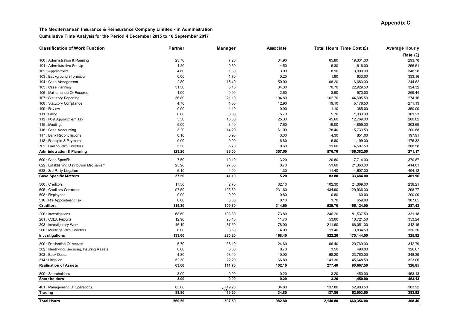#### **The Mediterranean Insurance & Reinsurance Company Limited - in Administration Cumulative Time Analysis for the Period 4 December 2015 to 16 September 2017**

| <b>Classification of Work Function</b>                                  | Partner | Manager      | Associate | Total Hours Time Cost (£) |            | <b>Average Hourly</b> |
|-------------------------------------------------------------------------|---------|--------------|-----------|---------------------------|------------|-----------------------|
|                                                                         |         |              |           |                           |            | Rate (£)              |
| 100 : Administration & Planning                                         | 23.70   | 7.20         | 34.90     | 65.80                     | 19,331.00  | 293.78                |
| 101 : Administrative Set-Up                                             | 1.20    | 0.60         | 4.50      | 6.30                      | 1,616.00   | 256.51                |
| 102: Appointment                                                        | 4.60    | 1.30         | 3.00      | 8.90                      | 3,099.00   | 348.20                |
| 103 : Background Information                                            | 0.00    | 1.70         | 0.20      | 1.90                      | 633.00     | 333.16                |
| 104 : Case Management                                                   | 2.80    | 15.40        | 50.00     | 68.20                     | 16,683.00  | 244.62                |
| 105 : Case Planning                                                     | 31.30   | 5.10         | 34.30     | 70.70                     | 22,929.50  | 324.32                |
| 106 : Maintanance Of Records                                            | 1.00    | 0.00         | 2.60      | 3.60                      | 970.00     | 269.44                |
| 107: Statutory Reporting                                                | 36.80   | 21.10        | 104.80    | 162.70                    | 44,605.50  | 274.16                |
| 108 : Statutory Compliance                                              | 4.70    | 1.50         | 12.90     | 19.10                     | 5,178.50   | 271.13                |
| 109 : Review                                                            | 0.00    | 1.10         | 0.00      | 1.10                      | 385.00     | 350.00                |
| $111:$ Billing                                                          | 0.00    | 0.00         | 5.70      | 5.70                      | 1,033.00   | 181.23                |
| 112 : Post Appointment Tax                                              | 3.50    | 16.80        | 25.30     | 45.60                     | 12,769.00  | 280.02                |
| 115 : Meetings                                                          | 5.00    | 3.40         | 7.60      | 16.00                     | 4,859.00   | 303.69                |
| 116 : Case Accounting                                                   | 3.20    | 14.20        | 61.00     | 78.40                     | 15,733.50  | 200.68                |
| 117 : Bank Reconciliations                                              | 0.10    | 0.90         | 3.30      | 4.30                      | 851.00     | 197.91                |
| 118 : Receipts & Payments                                               | 0.00    | 0.00         | 6.80      | 6.80                      | 1,199.00   | 176.32                |
| 702 : Liaison With Directors                                            | 5.30    | 5.70         | 0.60      | 11.60                     | 4,507.50   | 388.58                |
| <b>Administration &amp; Planning</b>                                    | 123.20  | 96.00        | 357.50    | 576.70                    | 156,382.50 | 271.17                |
| 600 : Case Specific                                                     | 7.50    | 10.10        | 3.20      | 20.80                     | 7,714.00   | 370.87                |
|                                                                         | 23.90   | 27.00        | 0.70      | 51.60                     | 21,363.00  | 414.01                |
| 622 : Establishing Distribution Mechanism<br>633 : 3rd Party Litigation | 6.10    | 4.00         | 1.30      | 11.40                     | 4,607.00   | 404.12                |
| <b>Case Specific Matters</b>                                            | 37.50   | 41.10        | 5.20      | 83.80                     | 33,684.00  | 401.96                |
|                                                                         |         |              |           |                           |            |                       |
| 500 : Creditors                                                         | 17.50   | 2.70         | 82.10     | 102.30                    | 24,369.00  | 238.21                |
| 505 : Creditors Committee                                               | 97.50   | 105.80       | 231.60    | 434.90                    | 129,936.00 | 298.77                |
| 508 : Employees                                                         | 0.00    | 0.00         | 0.80      | 0.80                      | 160.00     | 200.00                |
| 510 : Pre Appointment Tax                                               | 0.80    | 0.80         | 0.10      | 1.70                      | 659.00     | 387.65                |
| <b>Creditors</b>                                                        | 115.80  | 109.30       | 314.60    | 539.70                    | 155,124.00 | 287.43                |
| 200 : Investigations                                                    | 68.60   | 103.80       | 73.80     | 246.20                    | 81,537.50  | 331.18                |
| 201 : CDDA Reports                                                      | 12.90   | 28.40        | 11.70     | 53.00                     | 18,721.50  | 353.24                |
| 203 : Investigatory Work                                                | 46.10   | 87.50        | 78.00     | 211.60                    | 66,051.00  | 312.15                |
| 206 : Meetings With Directors                                           | 6.00    | 0.50         | 4.90      | 11.40                     | 3,834.50   | 336.36                |
| Investigations                                                          | 133.60  | 220.20       | 168.40    | 522.20                    | 170,144.50 | 325.82                |
| 300 : Realisation Of Assets                                             | 5.70    | 36.10        | 24.60     | 66.40                     | 20,769.00  | 312.79                |
| 302 : Identifying, Securing, Insuring Assets                            | 0.80    | 0.00         | 0.70      | 1.50                      | 490.00     | 326.67                |
| 303: Book Debts                                                         | 4.80    | 53.40        | 10.00     | 68.20                     | 23,760.00  | 348.39                |
| 314 : Litigation                                                        | 52.30   | 22.20        | 66.80     | 141.30                    | 45,648.50  | 323.06                |
| <b>Realisation of Assets</b>                                            | 63.60   | 111.70       | 102.10    | 277.40                    | 90,667.50  | 326.85                |
|                                                                         |         |              |           |                           |            |                       |
| 800: Shareholders                                                       | 3.00    | 0.00         | 0.20      | 3.20                      | 1,450.00   | 453.13                |
| Shareholders                                                            | 3.00    | 0.00         | 0.20      | 3.20                      | 1,450.00   | 453.13                |
| 401 : Management Of Operations                                          | 83.80   | $15^{19.20}$ | 34.80     | 137.80                    | 52,903.50  | 383.92                |
| Trading                                                                 | 83.80   | 19.20        | 34.80     | 137.80                    | 52,903.50  | 383.92                |
| <b>Total Hours</b>                                                      | 560.50  | 597.50       | 982.80    | 2,140.80                  | 660.356.00 | 308.46                |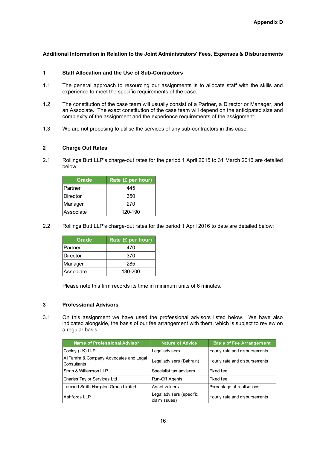## **Additional Information in Relation to the Joint Administrators' Fees, Expenses & Disbursements**

#### **1 Staff Allocation and the Use of Sub-Contractors**

- 1.1 The general approach to resourcing our assignments is to allocate staff with the skills and experience to meet the specific requirements of the case.
- 1.2 The constitution of the case team will usually consist of a Partner, a Director or Manager, and an Associate. The exact constitution of the case team will depend on the anticipated size and complexity of the assignment and the experience requirements of the assignment.
- 1.3 We are not proposing to utilise the services of any sub-contractors in this case.

#### **2 Charge Out Rates**

2.1 Rollings Butt LLP's charge-out rates for the period 1 April 2015 to 31 March 2016 are detailed below:

| Grade           | Rate (£ per hour) |
|-----------------|-------------------|
| Partner         | 445               |
| <b>Director</b> | 350               |
| Manager         | 270               |
| Associate       | 120-190           |

2.2 Rollings Butt LLP's charge-out rates for the period 1 April 2016 to date are detailed below:

| Grade      | Rate (£ per hour) |
|------------|-------------------|
| Partner    | 470               |
| Director   | 370               |
| Manager    | 285               |
| lAssociate | 130-200           |

Please note this firm records its time in minimum units of 6 minutes.

### **3 Professional Advisors**

3.1 On this assignment we have used the professional advisors listed below. We have also indicated alongside, the basis of our fee arrangement with them, which is subject to review on a regular basis.

| <b>Name of Professional Advisor</b>                    | <b>Nature of Advice</b>                   | <b>Basis of Fee Arrangement</b> |
|--------------------------------------------------------|-------------------------------------------|---------------------------------|
| Cooley (UK) LLP                                        | Legal advisers                            | Hourly rate and disbursements.  |
| Al Tamimi & Company Advocates and Legal<br>Consultants | Legal advisers (Bahrain)                  | Hourly rate and disbursements   |
| Smith & Williamson LLP                                 | Specialist tax advisers                   | Fixed fee                       |
| Charles Taylor Services Ltd                            | Run-Off Agents                            | Fixed fee                       |
| Lambert Smith Hampton Group Limited                    | Asset valuers                             | Percentage of realisations      |
| Ashfords LLP                                           | Legal advisers (specific<br>claim issues) | Hourly rate and disbursements   |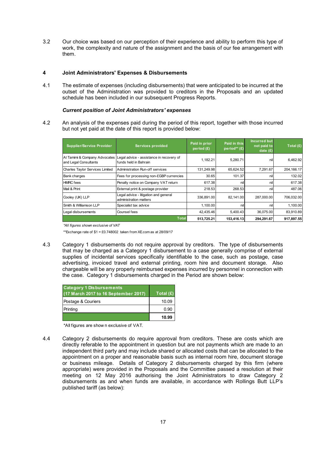3.2 Our choice was based on our perception of their experience and ability to perform this type of work, the complexity and nature of the assignment and the basis of our fee arrangement with them.

#### **4 Joint Administrators' Expenses & Disbursements**

4.1 The estimate of expenses (including disbursements) that were anticipated to be incurred at the outset of the Administration was provided to creditors in the Proposals and an updated schedule has been included in our subsequent Progress Reports.

#### *Current position of Joint Administrators' expenses*

4.2 An analysis of the expenses paid during the period of this report, together with those incurred but not yet paid at the date of this report is provided below:

| Supplier/Service Provider                              | Services provided                                                 | Paid in prior<br>period $(E)$ | Paid in this<br>period** (£) | <b>Incurred but</b><br>not paid to<br>date $(E)$ | Total $(E)$ |
|--------------------------------------------------------|-------------------------------------------------------------------|-------------------------------|------------------------------|--------------------------------------------------|-------------|
| Al Tamimi & Company Advocates<br>and Legal Consultants | Legal advice - assistance in recovery of<br>funds held in Bahrain | 1.182.21                      | 5,280.71                     | nil                                              | 6,462.92    |
| Charles Taylor Services Limited                        | Administration Run-off services                                   | 131,249.98                    | 65,624.52                    | 7,291.67                                         | 204,166.17  |
| <b>Bank charges</b>                                    | Fees for processing non-£GBP currencies                           | 30.65                         | 101.37                       | nil                                              | 132.02      |
| <b>HMRC</b> fees                                       | Penalty notice on Company VAT return                              | 617.38                        | nill                         | nil                                              | 617.38      |
| Mail & Print                                           | External print & postage provider                                 | 218.53                        | 268.53                       | nil                                              | 487.06      |
| Cooley (UK) LLP                                        | Legal advice - litigation and general<br>administration matters   | 336,891.00                    | 82.141.00                    | 287.000.00                                       | 706,032.00  |
| Smith & Williamson LLP                                 | Specialist tax advice                                             | 1.100.00                      | nill                         | nil                                              | 1.100.00    |
| Legal disbursements                                    | Counsel fees                                                      | 42,435.46                     | 5,400.43                     | 36.075.00                                        | 83,910.89   |
|                                                        | <b>Total</b>                                                      | 513,725.21                    | 153,416.13                   | 294,291.67                                       | 917,897.55  |

*\*All figures shown exclusive of VAT*

\*\*Exchange rate of \$1 = £0.748002 taken from XE.com as at 28/09/17

4.3 Category 1 disbursements do not require approval by creditors. The type of disbursements that may be charged as a Category 1 disbursement to a case generally comprise of external supplies of incidental services specifically identifiable to the case, such as postage, case advertising, invoiced travel and external printing, room hire and document storage. Also chargeable will be any properly reimbursed expenses incurred by personnel in connection with the case. Category 1 disbursements charged in the Period are shown below:

| <b>Category 1 Disbursements</b><br>(17 March 2017 to 16 September 2017) | Total $(E)$ |
|-------------------------------------------------------------------------|-------------|
| Postage & Couriers                                                      | 10.09       |
| Printing                                                                | 0.90        |
|                                                                         | 10.99       |

\*All figures are show n exclusive of VAT.

4.4 Category 2 disbursements do require approval from creditors. These are costs which are directly referable to the appointment in question but are not payments which are made to an independent third party and may include shared or allocated costs that can be allocated to the appointment on a proper and reasonable basis such as internal room hire, document storage or business mileage. Details of Category 2 disbursements charged by this firm (where appropriate) were provided in the Proposals and the Committee passed a resolution at their meeting on 12 May 2016 authorising the Joint Administrators to draw Category 2 disbursements as and when funds are available, in accordance with Rollings Butt LLP's published tariff (as below):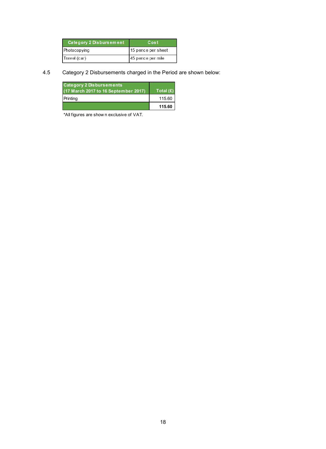| Category 2 Disbursement | Cost               |
|-------------------------|--------------------|
| Photocopying            | 15 pence per sheet |
| Travel (car)            | 45 pence per mile  |

## 4.5 Category 2 Disbursements charged in the Period are shown below:

| <b>Category 2 Disbursements</b><br>(17 March 2017 to 16 September 2017) | Total $(E)$ |
|-------------------------------------------------------------------------|-------------|
| Printing                                                                | 115.60      |
|                                                                         | 115.60      |

\*All figures are show n exclusive of VAT.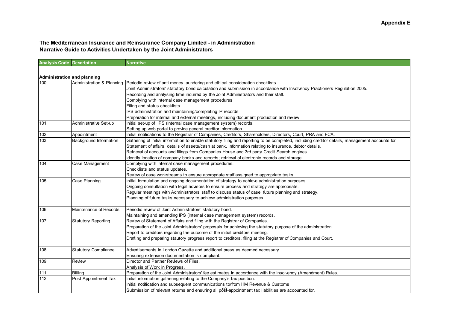#### **The Mediterranean Insurance and Reinsurance Company Limited - in Administration Narrative Guide to Activities Undertaken by the Joint Administrators**

| <b>Analysis Code Description</b> |                             | <b>Narrative</b>                                                                                                                               |
|----------------------------------|-----------------------------|------------------------------------------------------------------------------------------------------------------------------------------------|
|                                  |                             |                                                                                                                                                |
| Administration and planning      |                             |                                                                                                                                                |
| 100                              | Administration & Planning   | Periodic review of anti money laundering and ethical consideration checklists.                                                                 |
|                                  |                             | Joint Administrators' statutory bond calculation and submission in accordance with Insolvency Practioners Regulation 2005.                     |
|                                  |                             | Recording and analysing time incurred by the Joint Administrators and their staff.                                                             |
|                                  |                             | Complying with internal case management procedures                                                                                             |
|                                  |                             | Filing and status checklists                                                                                                                   |
|                                  |                             | IPS administration and maintaining/completing IP records                                                                                       |
|                                  |                             | Preparation for internal and external meetings, including document production and review                                                       |
| 101                              | Administrative Set-up       | Initial set-up of IPS (internal case management system) records.                                                                               |
|                                  |                             | Setting up web portal to provide general creditor information                                                                                  |
| 102                              | Appointment                 | Initial notifications to the Registrar of Companies, Creditors, Shareholders, Directors, Court, PRA and FCA.                                   |
| 103                              | Background Information      | Gathering of initial information to enable statutory filing and reporting to be completed, including creditor details, management accounts for |
|                                  |                             | Statement of affairs, details of assets/cash at bank, information relating to insurance, debtor details.                                       |
|                                  |                             | Retrieval of accounts and filings from Companies House and 3rd party Credit Search engines.                                                    |
|                                  |                             | Identify location of company books and records; retrieval of electronic records and storage.                                                   |
| 104                              | Case Management             | Complying with internal case management procedures.                                                                                            |
|                                  |                             | Checklists and status updates.                                                                                                                 |
|                                  |                             | Review of case workstreams to ensure appropriate staff assigned to appropriate tasks.                                                          |
| 105                              | Case Planning               | Initial formulation and ongoing documentation of strategy to achieve administration purposes.                                                  |
|                                  |                             | Ongoing consultation with legal advisors to ensure process and strategy are appropriate.                                                       |
|                                  |                             | Regular meetings with Administrators' staff to discuss status of case, future planning and strategy.                                           |
|                                  |                             | Planning of future tasks necessary to achieve administration purposes.                                                                         |
|                                  |                             |                                                                                                                                                |
| 106                              | Maintenance of Records      | Periodic review of Joint Administrators' statutory bond.                                                                                       |
|                                  |                             | Maintaining and amending IPS (internal case management system) records.                                                                        |
| 107                              | <b>Statutory Reporting</b>  | Review of Statement of Affairs and filing with the Registrar of Companies.                                                                     |
|                                  |                             | Preparation of the Joint Administrators' proposals for achieving the statutory purpose of the administration                                   |
|                                  |                             | Report to creditors regarding the outcome of the initial creditors meeting.                                                                    |
|                                  |                             | Drafting and preparing stautory progress report to creditors, filing at the Registrar of Companies and Court.                                  |
| 108                              | <b>Statutory Compliance</b> | Advertisements in London Gazette and additional press as deemed necessary.                                                                     |
|                                  |                             | Ensuring extension documentation is compliant.                                                                                                 |
| 109                              | Review                      | Director and Partner Reviews of Files.                                                                                                         |
|                                  |                             | Analysis of Work in Progress.                                                                                                                  |
| 111                              | Billing                     | Preparation of the Joint Administrators' fee estimates in accordance with the Insolvency (Amendment) Rules.                                    |
| 112                              | Post Appointment Tax        | Initial information gathering relating to the Company's tax position.                                                                          |
|                                  |                             | Initial notification and subsequent communications to/from HM Revenue & Customs                                                                |
|                                  |                             | Submission of relevant returns and ensuring all pd .appointment tax liabilities are accounted for.                                             |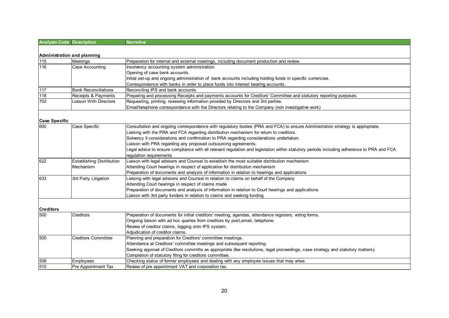| <b>Analysis Code Description</b> |                                  | <b>Narrative</b>                                                                                                                           |
|----------------------------------|----------------------------------|--------------------------------------------------------------------------------------------------------------------------------------------|
|                                  |                                  |                                                                                                                                            |
| Administration and planning      |                                  |                                                                                                                                            |
| 115                              | Meetings                         | Preparation for internal and external meetings, including document production and review.                                                  |
| 116                              | Case Accounting                  | Insolvency accounting system administration.                                                                                               |
|                                  |                                  | Opening of case bank accounts.                                                                                                             |
|                                  |                                  | Initial set-up and ongoing administration of bank accounts including holding funds in specific currencies.                                 |
|                                  |                                  | Correspondence with banks in order to place funds into interest bearing accounts.                                                          |
| 117                              | <b>Bank Reconciliations</b>      | Reconciling IPS and bank accounts.                                                                                                         |
| 118                              | Receipts & Payments              | Preparing and processing Receipts and payments accounts for Creditors' Committee and statutory reporting purposes.                         |
| 702                              | <b>Liaison With Directors</b>    | Requesting, printing, reviewing information provided by Directors and 3rd parties.                                                         |
|                                  |                                  | Email/telephone correspondence with the Directors relating to the Company (non investigative work)                                         |
|                                  |                                  |                                                                                                                                            |
| <b>Case Specific</b>             |                                  |                                                                                                                                            |
| 600                              | Case Specific                    | Consultation and ongoing correspondence with regulatory bodies (PRA and FCA) to ensure Administration strategy is appropriate.             |
|                                  |                                  | Liaising with the PRA and FCA regarding distribution mechanism for return to creditors.                                                    |
|                                  |                                  | Solvency II considerations and confirmation to PRA regarding considerations undertaken.                                                    |
|                                  |                                  | Liaison with PRA regarding any proposed outsourcing agreements.                                                                            |
|                                  |                                  | Legal advice to ensure compliance with all relevant regulation and legislation within statutory periods including adherence to PRA and FCA |
|                                  |                                  | regulation requirements                                                                                                                    |
| 622                              | <b>Establishing Distribution</b> | Liaison with legal advisers and Counsel to establish the most suitable distribution mechanism                                              |
|                                  | Mechanism                        | Attending Court hearings in respect of application for distribution mechanism                                                              |
|                                  |                                  | Preparation of documents and analysis of information in relation to hearings and applications                                              |
| 633                              | 3rd Party Litigation             | Liaising with legal advisers and Counsel in relation to claims on behalf of the Company                                                    |
|                                  |                                  | Attending Court hearings in respect of claims made                                                                                         |
|                                  |                                  | Preparation of documents and analysis of information in relation to Court hearings and applications                                        |
|                                  |                                  | Liaison with 3rd party funders in relation to claims and seeking funding                                                                   |
|                                  |                                  |                                                                                                                                            |
| <b>Creditors</b>                 |                                  |                                                                                                                                            |
| 500                              | <b>Creditors</b>                 | Preparation of documents for initial creditors' meeting, agendas, attendance registers, voting forms.                                      |
|                                  |                                  | Ongoing liaison with ad hoc queries from creditors by post, email, telephone.                                                              |
|                                  |                                  | Review of creditor claims, logging onto IPS system.                                                                                        |
|                                  |                                  | Adjudication of creditor claims.                                                                                                           |
| 505                              | <b>Creditors Committee</b>       | Planning and preparation for Creditors' committee meetings.                                                                                |
|                                  |                                  | Attendance at Creditors' committee meetings and subsequent reporting.                                                                      |
|                                  |                                  | Seeking approval of Creditors committe as appropriate (fee resolutions, legal proceedings, case strategy and statutory matters).           |
|                                  |                                  | Completion of statutory filing for creditors committee.                                                                                    |
| 508                              | Employees                        | Checking status of former employees and dealing with any employee issues that may arise.                                                   |
| 510                              | Pre Appointment Tax              | Review of pre appointment VAT and corporation tax.                                                                                         |